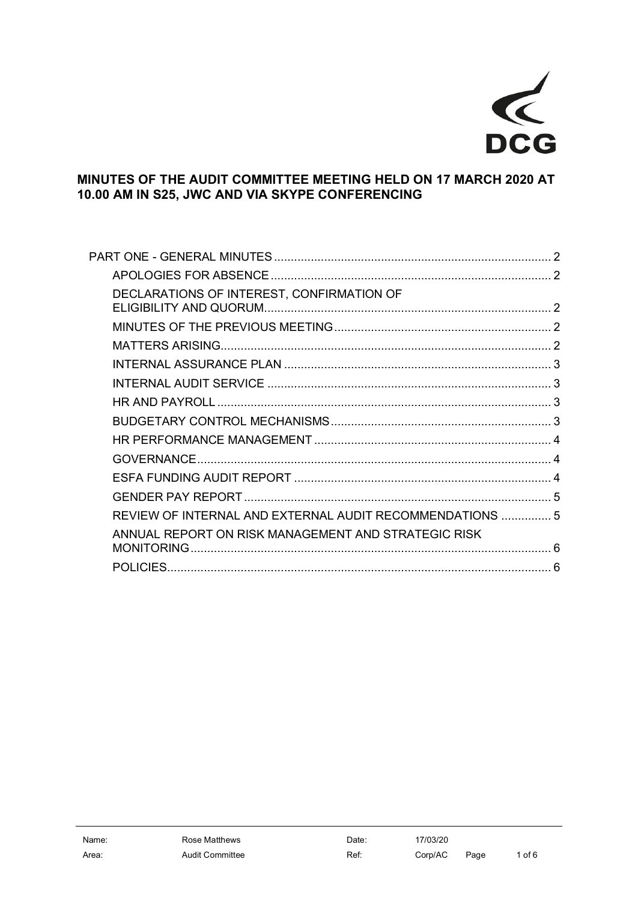

# MINUTES OF THE AUDIT COMMITTEE MEETING HELD ON 17 MARCH 2020 AT 10.00 AM IN S25, JWC AND VIA SKYPE CONFERENCING

| DECLARATIONS OF INTEREST, CONFIRMATION OF                |  |
|----------------------------------------------------------|--|
|                                                          |  |
|                                                          |  |
|                                                          |  |
|                                                          |  |
|                                                          |  |
|                                                          |  |
|                                                          |  |
|                                                          |  |
|                                                          |  |
|                                                          |  |
| REVIEW OF INTERNAL AND EXTERNAL AUDIT RECOMMENDATIONS  5 |  |
| ANNUAL REPORT ON RISK MANAGEMENT AND STRATEGIC RISK      |  |
|                                                          |  |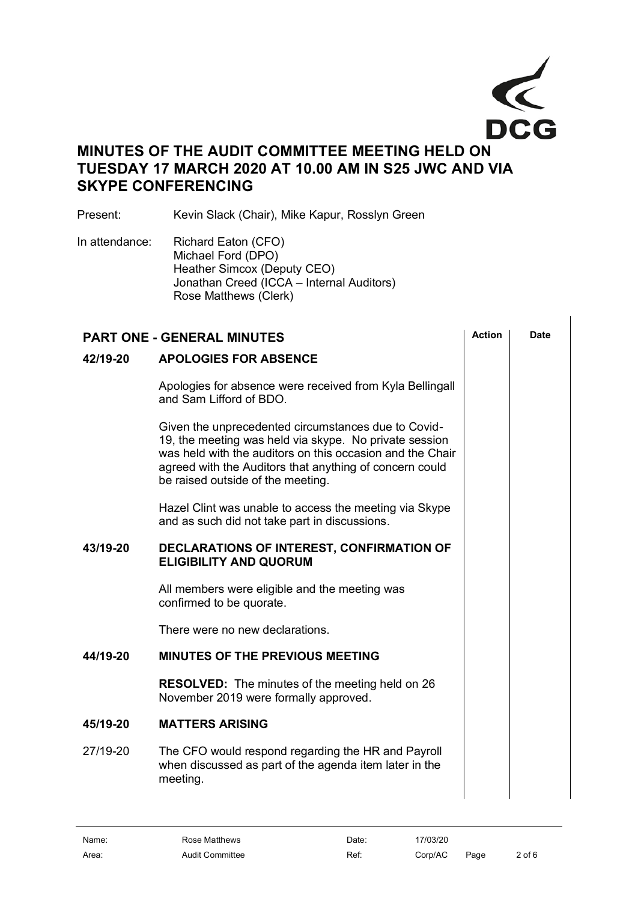

# **MINUTES OF THE AUDIT COMMITTEE MEETING HELD ON TUESDAY 17 MARCH 2020 AT 10.00 AM IN S25 JWC AND VIA SKYPE CONFERENCING**

Present: Kevin Slack (Chair), Mike Kapur, Rosslyn Green

In attendance: Richard Eaton (CFO) Michael Ford (DPO) Heather Simcox (Deputy CEO) Jonathan Creed (ICCA – Internal Auditors) Rose Matthews (Clerk)

<span id="page-1-4"></span><span id="page-1-3"></span><span id="page-1-2"></span><span id="page-1-1"></span><span id="page-1-0"></span>

| <b>PART ONE - GENERAL MINUTES</b> |                                                                                                                                                                                                                                                                            |  | <b>Date</b> |
|-----------------------------------|----------------------------------------------------------------------------------------------------------------------------------------------------------------------------------------------------------------------------------------------------------------------------|--|-------------|
| 42/19-20                          | <b>APOLOGIES FOR ABSENCE</b>                                                                                                                                                                                                                                               |  |             |
|                                   | Apologies for absence were received from Kyla Bellingall<br>and Sam Lifford of BDO.                                                                                                                                                                                        |  |             |
|                                   | Given the unprecedented circumstances due to Covid-<br>19, the meeting was held via skype. No private session<br>was held with the auditors on this occasion and the Chair<br>agreed with the Auditors that anything of concern could<br>be raised outside of the meeting. |  |             |
|                                   | Hazel Clint was unable to access the meeting via Skype<br>and as such did not take part in discussions.                                                                                                                                                                    |  |             |
| 43/19-20                          | DECLARATIONS OF INTEREST, CONFIRMATION OF<br><b>ELIGIBILITY AND QUORUM</b>                                                                                                                                                                                                 |  |             |
|                                   | All members were eligible and the meeting was<br>confirmed to be quorate.                                                                                                                                                                                                  |  |             |
|                                   | There were no new declarations.                                                                                                                                                                                                                                            |  |             |
| 44/19-20                          | MINUTES OF THE PREVIOUS MEETING                                                                                                                                                                                                                                            |  |             |
|                                   | <b>RESOLVED:</b> The minutes of the meeting held on 26<br>November 2019 were formally approved.                                                                                                                                                                            |  |             |
| 45/19-20                          | <b>MATTERS ARISING</b>                                                                                                                                                                                                                                                     |  |             |
| 27/19-20                          | The CFO would respond regarding the HR and Payroll<br>when discussed as part of the agenda item later in the<br>meeting.                                                                                                                                                   |  |             |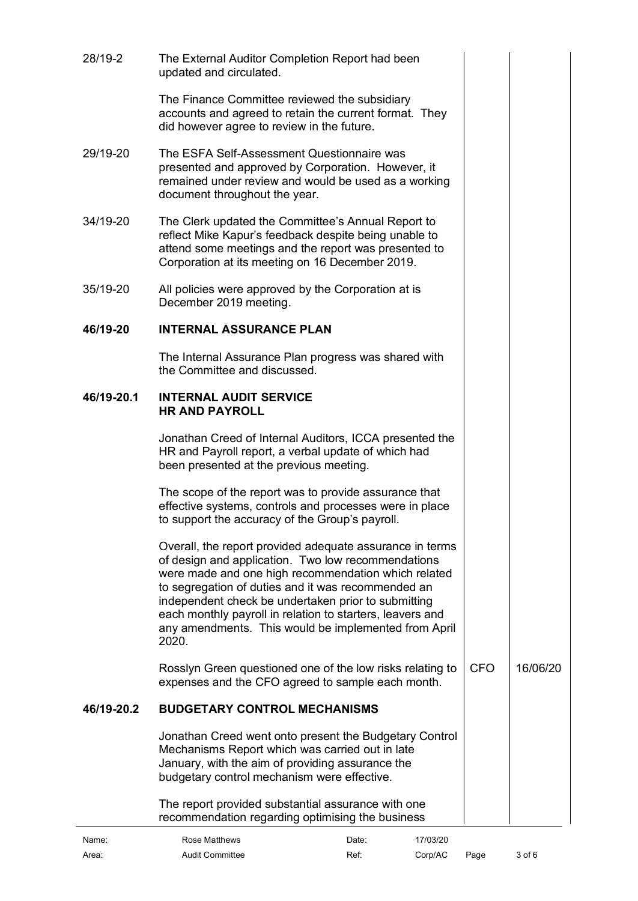<span id="page-2-2"></span><span id="page-2-1"></span><span id="page-2-0"></span>

| 28/19-2    |                                                                                                                                                                                                                                                                                                                                                                                                                  |            |          |
|------------|------------------------------------------------------------------------------------------------------------------------------------------------------------------------------------------------------------------------------------------------------------------------------------------------------------------------------------------------------------------------------------------------------------------|------------|----------|
|            | The External Auditor Completion Report had been<br>updated and circulated.                                                                                                                                                                                                                                                                                                                                       |            |          |
|            | The Finance Committee reviewed the subsidiary<br>accounts and agreed to retain the current format. They<br>did however agree to review in the future.                                                                                                                                                                                                                                                            |            |          |
| 29/19-20   | The ESFA Self-Assessment Questionnaire was<br>presented and approved by Corporation. However, it<br>remained under review and would be used as a working<br>document throughout the year.                                                                                                                                                                                                                        |            |          |
| 34/19-20   | The Clerk updated the Committee's Annual Report to<br>reflect Mike Kapur's feedback despite being unable to<br>attend some meetings and the report was presented to<br>Corporation at its meeting on 16 December 2019.                                                                                                                                                                                           |            |          |
| 35/19-20   | All policies were approved by the Corporation at is<br>December 2019 meeting.                                                                                                                                                                                                                                                                                                                                    |            |          |
| 46/19-20   | <b>INTERNAL ASSURANCE PLAN</b>                                                                                                                                                                                                                                                                                                                                                                                   |            |          |
|            | The Internal Assurance Plan progress was shared with<br>the Committee and discussed.                                                                                                                                                                                                                                                                                                                             |            |          |
| 46/19-20.1 | <b>INTERNAL AUDIT SERVICE</b><br><b>HR AND PAYROLL</b>                                                                                                                                                                                                                                                                                                                                                           |            |          |
|            | Jonathan Creed of Internal Auditors, ICCA presented the<br>HR and Payroll report, a verbal update of which had<br>been presented at the previous meeting.                                                                                                                                                                                                                                                        |            |          |
|            | The scope of the report was to provide assurance that<br>effective systems, controls and processes were in place<br>to support the accuracy of the Group's payroll.                                                                                                                                                                                                                                              |            |          |
|            | Overall, the report provided adequate assurance in terms<br>of design and application. Two low recommendations<br>were made and one high recommendation which related<br>to segregation of duties and it was recommended an<br>independent check be undertaken prior to submitting<br>each monthly payroll in relation to starters, leavers and<br>any amendments. This would be implemented from April<br>2020. |            |          |
|            | Rosslyn Green questioned one of the low risks relating to<br>expenses and the CFO agreed to sample each month.                                                                                                                                                                                                                                                                                                   | <b>CFO</b> | 16/06/20 |
| 46/19-20.2 | <b>BUDGETARY CONTROL MECHANISMS</b>                                                                                                                                                                                                                                                                                                                                                                              |            |          |
|            | Jonathan Creed went onto present the Budgetary Control<br>Mechanisms Report which was carried out in late<br>January, with the aim of providing assurance the<br>budgetary control mechanism were effective.                                                                                                                                                                                                     |            |          |
|            | The report provided substantial assurance with one<br>recommendation regarding optimising the business                                                                                                                                                                                                                                                                                                           |            |          |

<span id="page-2-3"></span>

| Name: | Rose Matthews   | Date: | 17/03/20 |      |            |
|-------|-----------------|-------|----------|------|------------|
| Area: | Audit Committee | Ref:  | Corp/AC  | Page | $3$ of $6$ |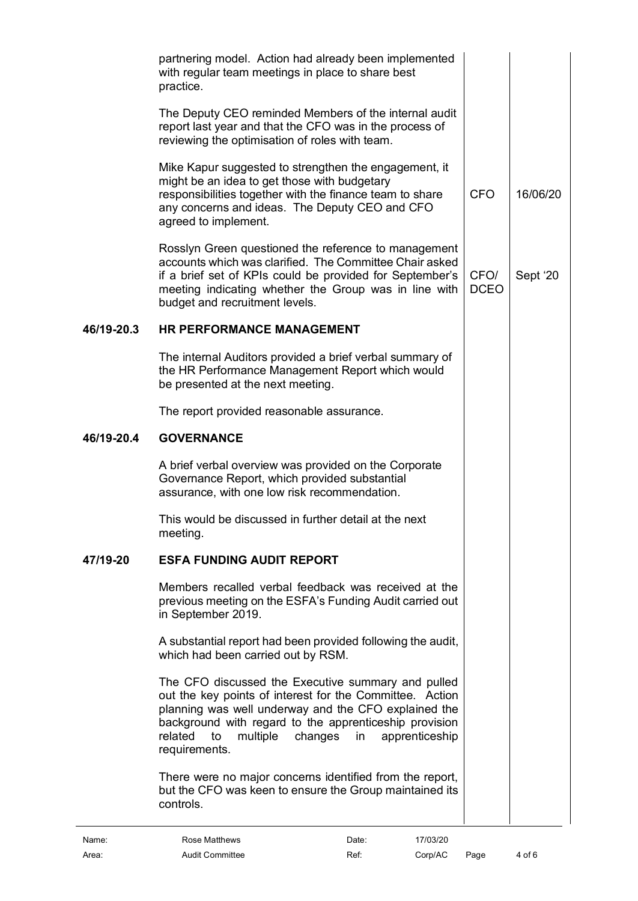<span id="page-3-1"></span><span id="page-3-0"></span>

| Name:      | Rose Matthews<br>17/03/20<br>Date:                                                                                                                                                                                                                                                                                |                     |          |
|------------|-------------------------------------------------------------------------------------------------------------------------------------------------------------------------------------------------------------------------------------------------------------------------------------------------------------------|---------------------|----------|
|            | There were no major concerns identified from the report,<br>but the CFO was keen to ensure the Group maintained its<br>controls.                                                                                                                                                                                  |                     |          |
|            | The CFO discussed the Executive summary and pulled<br>out the key points of interest for the Committee. Action<br>planning was well underway and the CFO explained the<br>background with regard to the apprenticeship provision<br>related<br>multiple<br>changes<br>to<br>in<br>apprenticeship<br>requirements. |                     |          |
|            | A substantial report had been provided following the audit,<br>which had been carried out by RSM.                                                                                                                                                                                                                 |                     |          |
|            | Members recalled verbal feedback was received at the<br>previous meeting on the ESFA's Funding Audit carried out<br>in September 2019.                                                                                                                                                                            |                     |          |
| 47/19-20   | <b>ESFA FUNDING AUDIT REPORT</b>                                                                                                                                                                                                                                                                                  |                     |          |
|            | This would be discussed in further detail at the next<br>meeting.                                                                                                                                                                                                                                                 |                     |          |
|            | A brief verbal overview was provided on the Corporate<br>Governance Report, which provided substantial<br>assurance, with one low risk recommendation.                                                                                                                                                            |                     |          |
| 46/19-20.4 | <b>GOVERNANCE</b>                                                                                                                                                                                                                                                                                                 |                     |          |
|            | The report provided reasonable assurance.                                                                                                                                                                                                                                                                         |                     |          |
|            | The internal Auditors provided a brief verbal summary of<br>the HR Performance Management Report which would<br>be presented at the next meeting.                                                                                                                                                                 |                     |          |
| 46/19-20.3 | <b>HR PERFORMANCE MANAGEMENT</b>                                                                                                                                                                                                                                                                                  |                     |          |
|            | Rosslyn Green questioned the reference to management<br>accounts which was clarified. The Committee Chair asked<br>if a brief set of KPIs could be provided for September's<br>meeting indicating whether the Group was in line with<br>budget and recruitment levels.                                            | CFO/<br><b>DCEO</b> | Sept '20 |
|            | Mike Kapur suggested to strengthen the engagement, it<br>might be an idea to get those with budgetary<br>responsibilities together with the finance team to share<br>any concerns and ideas. The Deputy CEO and CFO<br>agreed to implement.                                                                       | <b>CFO</b>          | 16/06/20 |
|            | The Deputy CEO reminded Members of the internal audit<br>report last year and that the CFO was in the process of<br>reviewing the optimisation of roles with team.                                                                                                                                                |                     |          |
|            | partnering model. Action had already been implemented<br>with regular team meetings in place to share best<br>practice.                                                                                                                                                                                           |                     |          |

<span id="page-3-2"></span>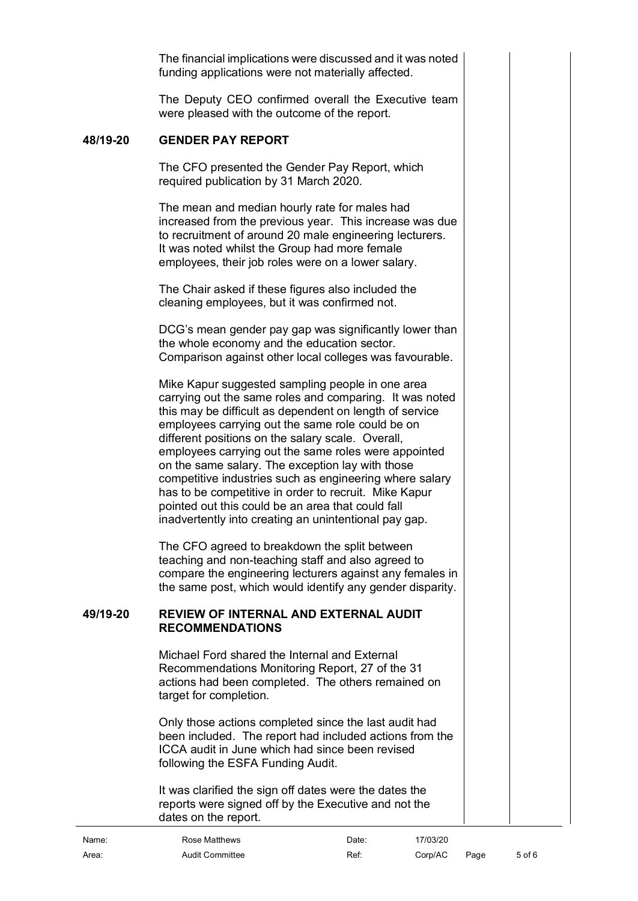The financial implications were discussed and it was noted funding applications were not materially affected.

The Deputy CEO confirmed overall the Executive team were pleased with the outcome of the report.

# **48/19-20 GENDER PAY REPORT**

<span id="page-4-0"></span>The CFO presented the Gender Pay Report, which required publication by 31 March 2020.

The mean and median hourly rate for males had increased from the previous year. This increase was due to recruitment of around 20 male engineering lecturers. It was noted whilst the Group had more female employees, their job roles were on a lower salary.

The Chair asked if these figures also included the cleaning employees, but it was confirmed not.

DCG's mean gender pay gap was significantly lower than the whole economy and the education sector. Comparison against other local colleges was favourable.

Mike Kapur suggested sampling people in one area carrying out the same roles and comparing. It was noted this may be difficult as dependent on length of service employees carrying out the same role could be on different positions on the salary scale. Overall, employees carrying out the same roles were appointed on the same salary. The exception lay with those competitive industries such as engineering where salary has to be competitive in order to recruit. Mike Kapur pointed out this could be an area that could fall inadvertently into creating an unintentional pay gap.

The CFO agreed to breakdown the split between teaching and non-teaching staff and also agreed to compare the engineering lecturers against any females in the same post, which would identify any gender disparity.

#### **49/19-20 REVIEW OF INTERNAL AND EXTERNAL AUDIT RECOMMENDATIONS**

<span id="page-4-1"></span>Michael Ford shared the Internal and External Recommendations Monitoring Report, 27 of the 31 actions had been completed. The others remained on target for completion.

Only those actions completed since the last audit had been included. The report had included actions from the ICCA audit in June which had since been revised following the ESFA Funding Audit.

It was clarified the sign off dates were the dates the reports were signed off by the Executive and not the dates on the report.